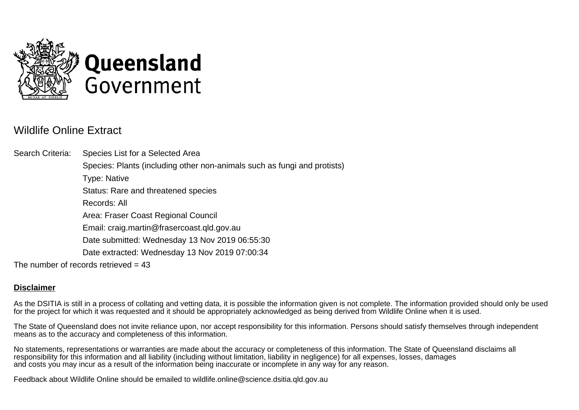

## Wildlife Online Extract

Search Criteria: Species List for a Selected Area Species: Plants (including other non-animals such as fungi and protists) Type: Native Status: Rare and threatened species Records: All Area: Fraser Coast Regional Council Email: craig.martin@frasercoast.qld.gov.au Date submitted: Wednesday 13 Nov 2019 06:55:30 Date extracted: Wednesday 13 Nov 2019 07:00:34 The number of records retrieved  $= 43$ 

## **Disclaimer**

As the DSITIA is still in a process of collating and vetting data, it is possible the information given is not complete. The information provided should only be used for the project for which it was requested and it should be appropriately acknowledged as being derived from Wildlife Online when it is used.

The State of Queensland does not invite reliance upon, nor accept responsibility for this information. Persons should satisfy themselves through independent means as to the accuracy and completeness of this information.

No statements, representations or warranties are made about the accuracy or completeness of this information. The State of Queensland disclaims all responsibility for this information and all liability (including without limitation, liability in negligence) for all expenses, losses, damages and costs you may incur as a result of the information being inaccurate or incomplete in any way for any reason.

Feedback about Wildlife Online should be emailed to wildlife.online@science.dsitia.qld.gov.au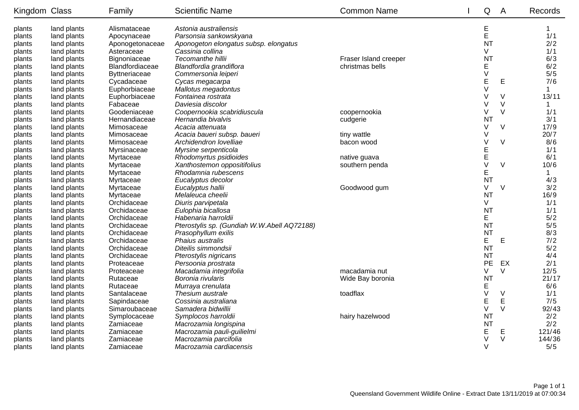| Kingdom Class |             | Family                 | <b>Scientific Name</b>                      | <b>Common Name</b>    | Q              | A           | Records     |
|---------------|-------------|------------------------|---------------------------------------------|-----------------------|----------------|-------------|-------------|
| plants        | land plants | Alismataceae           | Astonia australiensis                       |                       | E              |             | $\mathbf 1$ |
| plants        | land plants | Apocynaceae            | Parsonsia sankowskyana                      |                       | E              |             | 1/1         |
| plants        | land plants | Aponogetonaceae        | Aponogeton elongatus subsp. elongatus       |                       | <b>NT</b>      |             | 2/2         |
| plants        | land plants | Asteraceae             | Cassinia collina                            |                       | V              |             | 1/1         |
| plants        | land plants | Bignoniaceae           | Tecomanthe hillii                           | Fraser Island creeper | <b>NT</b>      |             | 6/3         |
| plants        | land plants | <b>Blandfordiaceae</b> | Blandfordia grandiflora                     | christmas bells       | E              |             | 6/2         |
| plants        | land plants | Byttneriaceae          | Commersonia leiperi                         |                       | $\vee$         |             | 5/5         |
| plants        | land plants | Cycadaceae             | Cycas megacarpa                             |                       | E              | Е           | 7/6         |
| plants        | land plants | Euphorbiaceae          | Mallotus megadontus                         |                       | $\vee$         |             | $\mathbf 1$ |
| plants        | land plants | Euphorbiaceae          | Fontainea rostrata                          |                       | V              | V           | 13/11       |
| plants        | land plants | Fabaceae               | Daviesia discolor                           |                       | V              | V           | 1           |
| plants        | land plants | Goodeniaceae           | Coopernookia scabridiuscula                 | coopernookia          | V              | $\vee$      | 1/1         |
| plants        | land plants | Hernandiaceae          | Hernandia bivalvis                          | cudgerie              | N <sub>1</sub> |             | 3/1         |
| plants        | land plants | Mimosaceae             | Acacia attenuata                            |                       | V              | $\vee$      | 17/9        |
| plants        | land plants | Mimosaceae             | Acacia baueri subsp. baueri                 | tiny wattle           | V              |             | 20/7        |
| plants        | land plants | Mimosaceae             | Archidendron lovelliae                      | bacon wood            | V              | $\vee$      | 8/6         |
| plants        | land plants | Myrsinaceae            | Myrsine serpenticola                        |                       | E              |             | 1/1         |
| plants        | land plants | Myrtaceae              | Rhodomyrtus psidioides                      | native guava          | E              |             | 6/1         |
| plants        | land plants | Myrtaceae              | Xanthostemon oppositifolius                 | southern penda        | $\vee$         | V           | 10/6        |
| plants        | land plants | Myrtaceae              | Rhodamnia rubescens                         |                       | E              |             | 1           |
| plants        | land plants | Myrtaceae              | Eucalyptus decolor                          |                       | <b>NT</b>      |             | 4/3         |
| plants        | land plants | Myrtaceae              | Eucalyptus hallii                           | Goodwood gum          | V              | $\vee$      | 3/2         |
| plants        | land plants | Myrtaceae              | Melaleuca cheelii                           |                       | <b>NT</b>      |             | 16/9        |
| plants        | land plants | Orchidaceae            | Diuris parvipetala                          |                       | V              |             | 1/1         |
| plants        | land plants | Orchidaceae            | Eulophia bicallosa                          |                       | <b>NT</b>      |             | 1/1         |
| plants        | land plants | Orchidaceae            | Habenaria harroldii                         |                       | E              |             | 5/2         |
| plants        | land plants | Orchidaceae            | Pterostylis sp. (Gundiah W.W.Abell AQ72188) |                       | <b>NT</b>      |             | 5/5         |
| plants        | land plants | Orchidaceae            | Prasophyllum exilis                         |                       | <b>NT</b>      |             | 8/3         |
| plants        | land plants | Orchidaceae            | Phaius australis                            |                       | E              | Е           | 7/2         |
| plants        | land plants | Orchidaceae            | Diteilis simmondsii                         |                       | <b>NT</b>      |             | 5/2         |
| plants        | land plants | Orchidaceae            | Pterostylis nigricans                       |                       | <b>NT</b>      |             | 4/4         |
| plants        | land plants | Proteaceae             | Persoonia prostrata                         |                       | <b>PE</b>      | EX          | 2/1         |
| plants        | land plants | Proteaceae             | Macadamia integrifolia                      | macadamia nut         | V              | V           | 12/5        |
| plants        | land plants | Rutaceae               | Boronia rivularis                           | Wide Bay boronia      | <b>NT</b>      |             | 21/17       |
| plants        | land plants | Rutaceae               | Murraya crenulata                           |                       | E              |             | 6/6         |
| plants        | land plants | Santalaceae            | Thesium australe                            | toadflax              | $\vee$         | $\vee$      | 1/1         |
| plants        | land plants | Sapindaceae            | Cossinia australiana                        |                       | E              | $\mathsf E$ | 7/5         |
| plants        | land plants | Simaroubaceae          | Samadera bidwillii                          |                       | $\vee$         | $\vee$      | 92/43       |
| plants        | land plants | Symplocaceae           | Symplocos harroldii                         | hairy hazelwood       | <b>NT</b>      |             | 2/2         |
| plants        | land plants | Zamiaceae              | Macrozamia longispina                       |                       | <b>NT</b>      |             | 2/2         |
| plants        | land plants | Zamiaceae              | Macrozamia pauli-guilielmi                  |                       | E              | Е           | 121/46      |
| plants        | land plants | Zamiaceae              | Macrozamia parcifolia                       |                       | V              | $\vee$      | 144/36      |
| plants        | land plants | Zamiaceae              | Macrozamia cardiacensis                     |                       | $\vee$         |             | 5/5         |